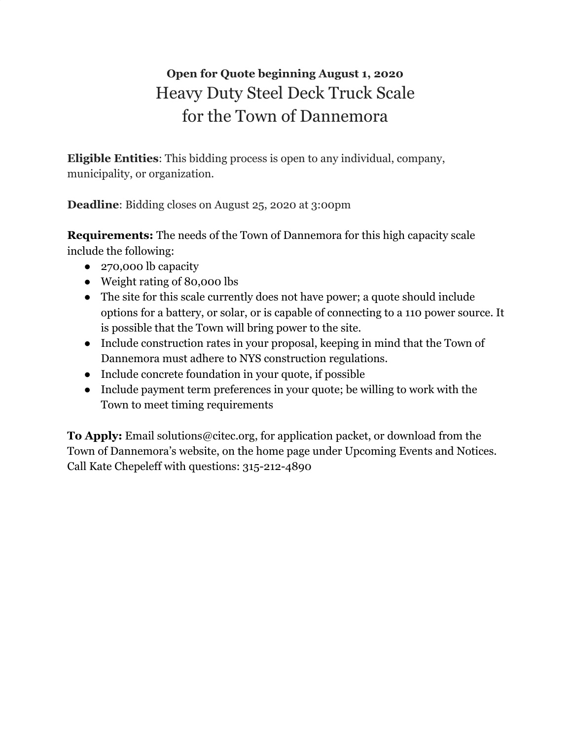## **Open for Quote beginning August 1, 2020** Heavy Duty Steel Deck Truck Scale for the Town of Dannemora

**Eligible Entities**: This bidding process is open to any individual, company, municipality, or organization.

**Deadline**: Bidding closes on August 25, 2020 at 3:00pm

**Requirements:** The needs of the Town of Dannemora for this high capacity scale include the following:

- 270,000 lb capacity
- Weight rating of 80,000 lbs
- The site for this scale currently does not have power; a quote should include options for a battery, or solar, or is capable of connecting to a 110 power source. It is possible that the Town will bring power to the site.
- Include construction rates in your proposal, keeping in mind that the Town of Dannemora must adhere to NYS construction regulations.
- Include concrete foundation in your quote, if possible
- Include payment term preferences in your quote; be willing to work with the Town to meet timing requirements

**To Apply:** Email solutions@citec.org, for application packet, or download from the Town of Dannemora's website, on the home page under Upcoming Events and Notices. Call Kate Chepeleff with questions: 315-212-4890